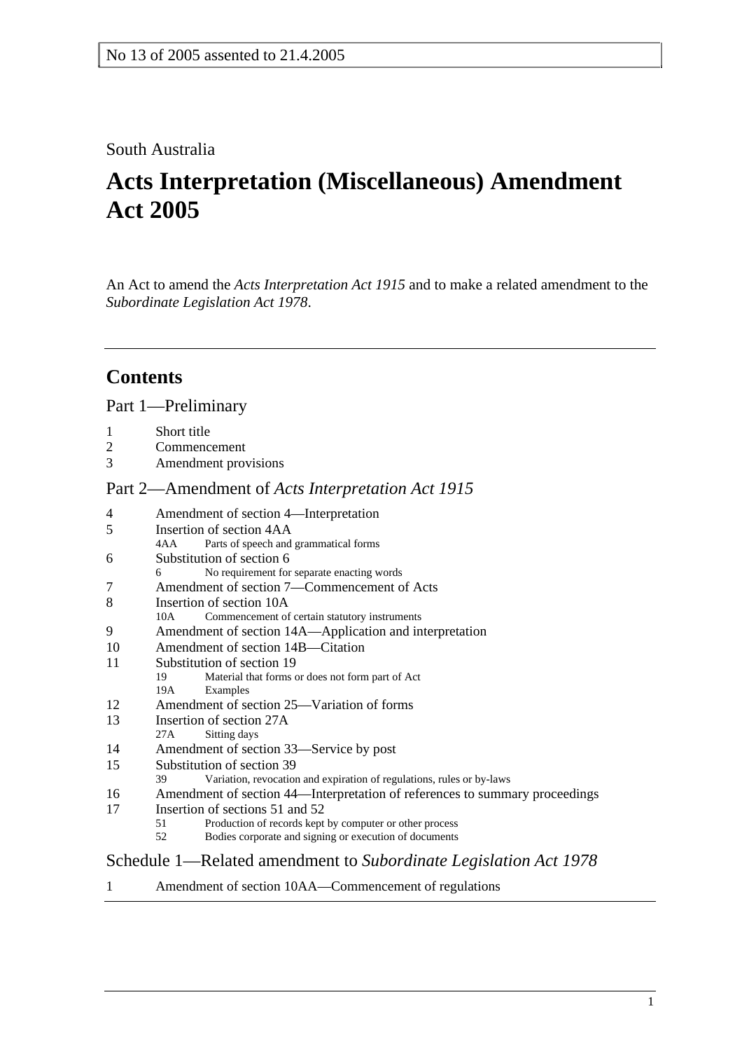### South Australia

# **Acts Interpretation (Miscellaneous) Amendment Act 2005**

An Act to amend the *Acts Interpretation Act 1915* and to make a related amendment to the *Subordinate Legislation Act 1978*.

# **Contents**

### Part 1—Preliminary

- 1 Short title
- 2 Commencement
- 3 Amendment provisions

### Part 2—Amendment of *Acts Interpretation Act 1915*

| 4                                                                | Amendment of section 4—Interpretation                                       |
|------------------------------------------------------------------|-----------------------------------------------------------------------------|
| 5                                                                | Insertion of section 4AA                                                    |
|                                                                  | Parts of speech and grammatical forms<br>4AA                                |
| 6                                                                | Substitution of section 6                                                   |
|                                                                  | No requirement for separate enacting words<br>6                             |
| 7                                                                | Amendment of section 7—Commencement of Acts                                 |
| 8                                                                | Insertion of section 10A                                                    |
|                                                                  | Commencement of certain statutory instruments<br>10A                        |
| 9                                                                | Amendment of section 14A—Application and interpretation                     |
| 10                                                               | Amendment of section 14B—Citation                                           |
| 11                                                               | Substitution of section 19                                                  |
|                                                                  | Material that forms or does not form part of Act<br>19                      |
|                                                                  | Examples<br>19A                                                             |
| 12                                                               | Amendment of section 25—Variation of forms                                  |
| 13                                                               | Insertion of section 27A                                                    |
|                                                                  | Sitting days<br>27A                                                         |
| 14                                                               | Amendment of section 33—Service by post                                     |
| 15                                                               | Substitution of section 39                                                  |
|                                                                  | Variation, revocation and expiration of regulations, rules or by-laws<br>39 |
| 16                                                               | Amendment of section 44—Interpretation of references to summary proceedings |
| 17                                                               | Insertion of sections 51 and 52                                             |
|                                                                  | Production of records kept by computer or other process<br>51               |
|                                                                  | Bodies corporate and signing or execution of documents<br>52                |
| Schedule 1—Related amendment to Subordinate Legislation Act 1978 |                                                                             |

1 Amendment of section 10AA—Commencement of regulations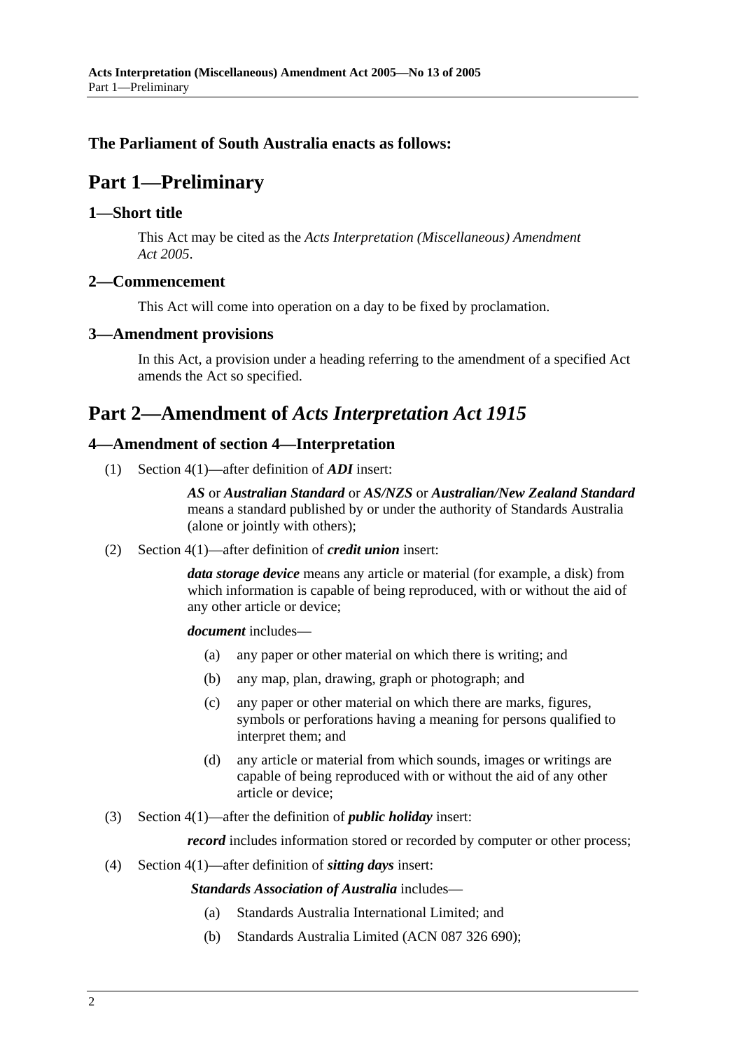### **The Parliament of South Australia enacts as follows:**

# **Part 1—Preliminary**

#### **1—Short title**

This Act may be cited as the *Acts Interpretation (Miscellaneous) Amendment Act 2005*.

#### **2—Commencement**

This Act will come into operation on a day to be fixed by proclamation.

#### **3—Amendment provisions**

In this Act, a provision under a heading referring to the amendment of a specified Act amends the Act so specified.

## **Part 2—Amendment of** *Acts Interpretation Act 1915*

#### **4—Amendment of section 4—Interpretation**

(1) Section 4(1)—after definition of *ADI* insert:

*AS* or *Australian Standard* or *AS/NZS* or *Australian/New Zealand Standard* means a standard published by or under the authority of Standards Australia (alone or jointly with others);

(2) Section 4(1)—after definition of *credit union* insert:

*data storage device* means any article or material (for example, a disk) from which information is capable of being reproduced, with or without the aid of any other article or device;

*document* includes—

- (a) any paper or other material on which there is writing; and
- (b) any map, plan, drawing, graph or photograph; and
- (c) any paper or other material on which there are marks, figures, symbols or perforations having a meaning for persons qualified to interpret them; and
- (d) any article or material from which sounds, images or writings are capable of being reproduced with or without the aid of any other article or device;
- (3) Section 4(1)—after the definition of *public holiday* insert:

*record* includes information stored or recorded by computer or other process;

(4) Section 4(1)—after definition of *sitting days* insert:

*Standards Association of Australia* includes—

- (a) Standards Australia International Limited; and
- (b) Standards Australia Limited (ACN 087 326 690);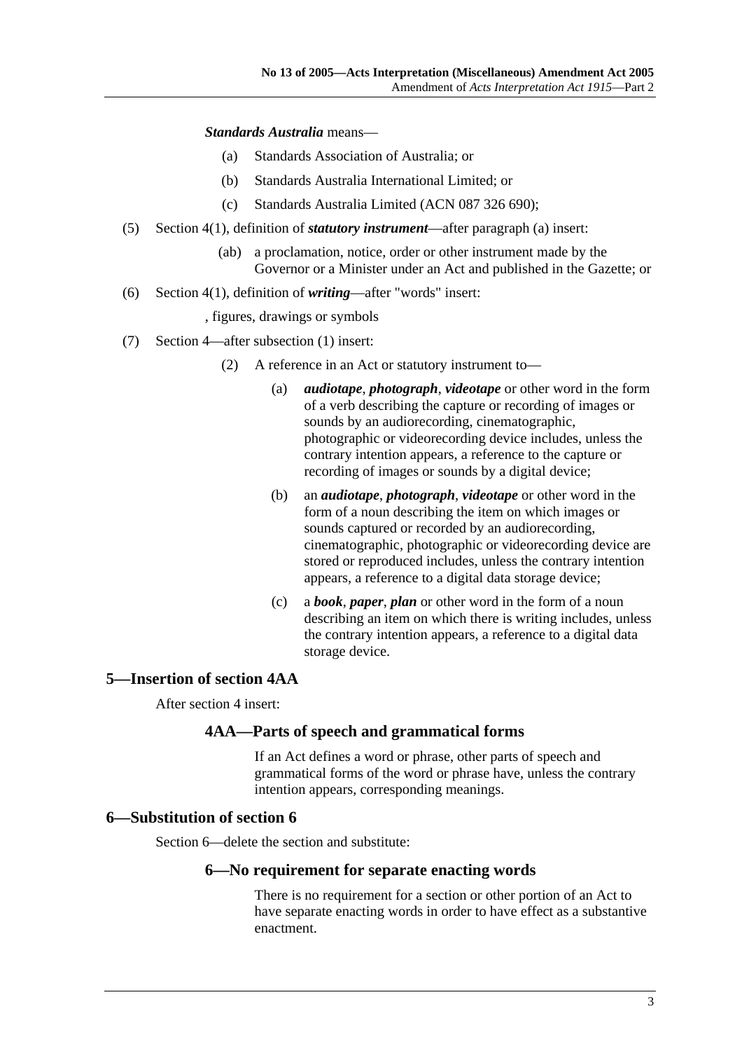#### *Standards Australia* means—

- (a) Standards Association of Australia; or
- (b) Standards Australia International Limited; or
- (c) Standards Australia Limited (ACN 087 326 690);
- (5) Section 4(1), definition of *statutory instrument*—after paragraph (a) insert:
	- (ab) a proclamation, notice, order or other instrument made by the Governor or a Minister under an Act and published in the Gazette; or
- (6) Section 4(1), definition of *writing*—after "words" insert:
	- , figures, drawings or symbols
- (7) Section 4—after subsection (1) insert:
	- (2) A reference in an Act or statutory instrument to—
		- (a) *audiotape*, *photograph*, *videotape* or other word in the form of a verb describing the capture or recording of images or sounds by an audiorecording, cinematographic, photographic or videorecording device includes, unless the contrary intention appears, a reference to the capture or recording of images or sounds by a digital device;
		- (b) an *audiotape*, *photograph*, *videotape* or other word in the form of a noun describing the item on which images or sounds captured or recorded by an audiorecording, cinematographic, photographic or videorecording device are stored or reproduced includes, unless the contrary intention appears, a reference to a digital data storage device;
		- (c) a *book*, *paper*, *plan* or other word in the form of a noun describing an item on which there is writing includes, unless the contrary intention appears, a reference to a digital data storage device.

#### **5—Insertion of section 4AA**

After section 4 insert:

#### **4AA—Parts of speech and grammatical forms**

If an Act defines a word or phrase, other parts of speech and grammatical forms of the word or phrase have, unless the contrary intention appears, corresponding meanings.

#### **6—Substitution of section 6**

Section 6—delete the section and substitute:

#### **6—No requirement for separate enacting words**

There is no requirement for a section or other portion of an Act to have separate enacting words in order to have effect as a substantive enactment.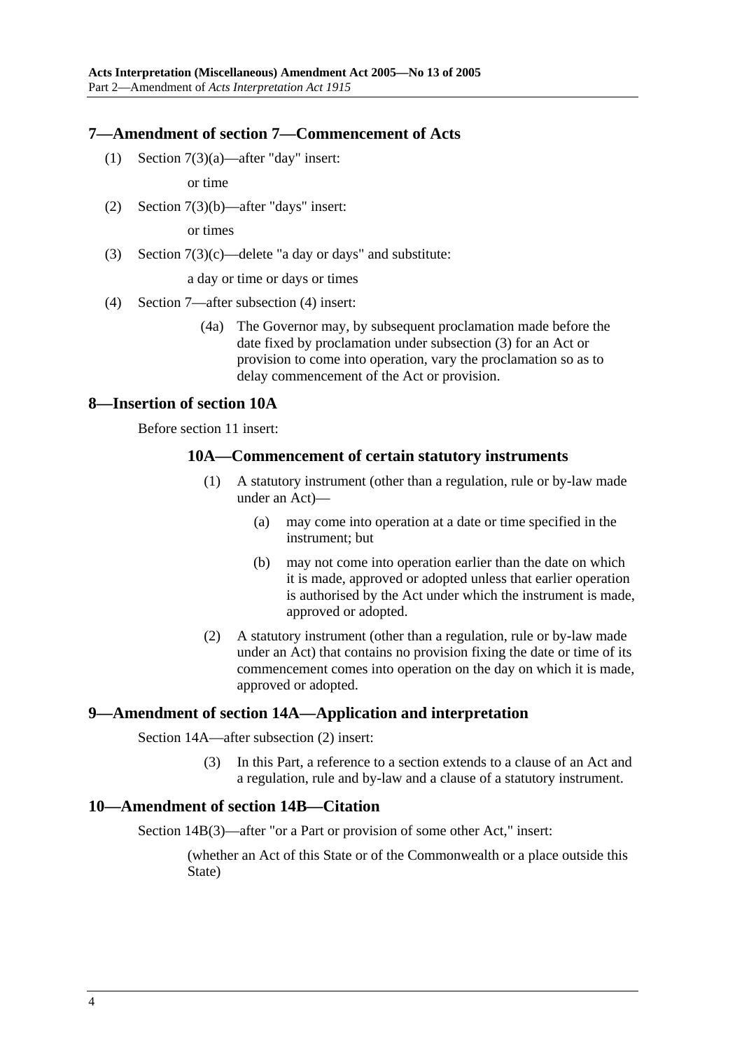#### **7—Amendment of section 7—Commencement of Acts**

(1) Section 7(3)(a)—after "day" insert:

or time

(2) Section 7(3)(b)—after "days" insert:

or times

(3) Section  $7(3)(c)$ —delete "a day or days" and substitute:

a day or time or days or times

- (4) Section 7—after subsection (4) insert:
	- (4a) The Governor may, by subsequent proclamation made before the date fixed by proclamation under subsection (3) for an Act or provision to come into operation, vary the proclamation so as to delay commencement of the Act or provision.

#### **8—Insertion of section 10A**

Before section 11 insert:

#### **10A—Commencement of certain statutory instruments**

- (1) A statutory instrument (other than a regulation, rule or by-law made under an Act)—
	- (a) may come into operation at a date or time specified in the instrument; but
	- (b) may not come into operation earlier than the date on which it is made, approved or adopted unless that earlier operation is authorised by the Act under which the instrument is made, approved or adopted.
- (2) A statutory instrument (other than a regulation, rule or by-law made under an Act) that contains no provision fixing the date or time of its commencement comes into operation on the day on which it is made, approved or adopted.

#### **9—Amendment of section 14A—Application and interpretation**

Section 14A—after subsection (2) insert:

 (3) In this Part, a reference to a section extends to a clause of an Act and a regulation, rule and by-law and a clause of a statutory instrument.

#### **10—Amendment of section 14B—Citation**

Section 14B(3)—after "or a Part or provision of some other Act," insert:

(whether an Act of this State or of the Commonwealth or a place outside this State)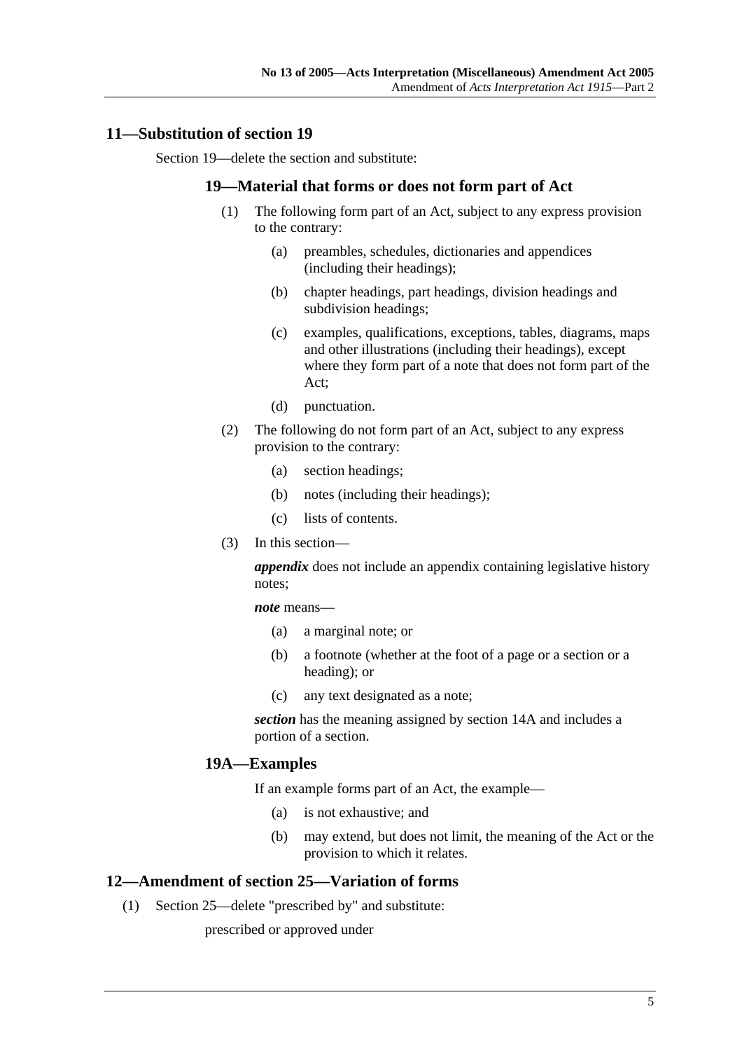#### **11—Substitution of section 19**

Section 19—delete the section and substitute:

#### **19—Material that forms or does not form part of Act**

- (1) The following form part of an Act, subject to any express provision to the contrary:
	- (a) preambles, schedules, dictionaries and appendices (including their headings);
	- (b) chapter headings, part headings, division headings and subdivision headings;
	- (c) examples, qualifications, exceptions, tables, diagrams, maps and other illustrations (including their headings), except where they form part of a note that does not form part of the Act;
	- (d) punctuation.
- (2) The following do not form part of an Act, subject to any express provision to the contrary:
	- (a) section headings;
	- (b) notes (including their headings);
	- (c) lists of contents.
- (3) In this section—

*appendix* does not include an appendix containing legislative history notes;

*note* means—

- (a) a marginal note; or
- (b) a footnote (whether at the foot of a page or a section or a heading); or
- (c) any text designated as a note;

*section* has the meaning assigned by section 14A and includes a portion of a section.

#### **19A—Examples**

If an example forms part of an Act, the example—

- (a) is not exhaustive; and
- (b) may extend, but does not limit, the meaning of the Act or the provision to which it relates.

#### **12—Amendment of section 25—Variation of forms**

(1) Section 25—delete "prescribed by" and substitute:

prescribed or approved under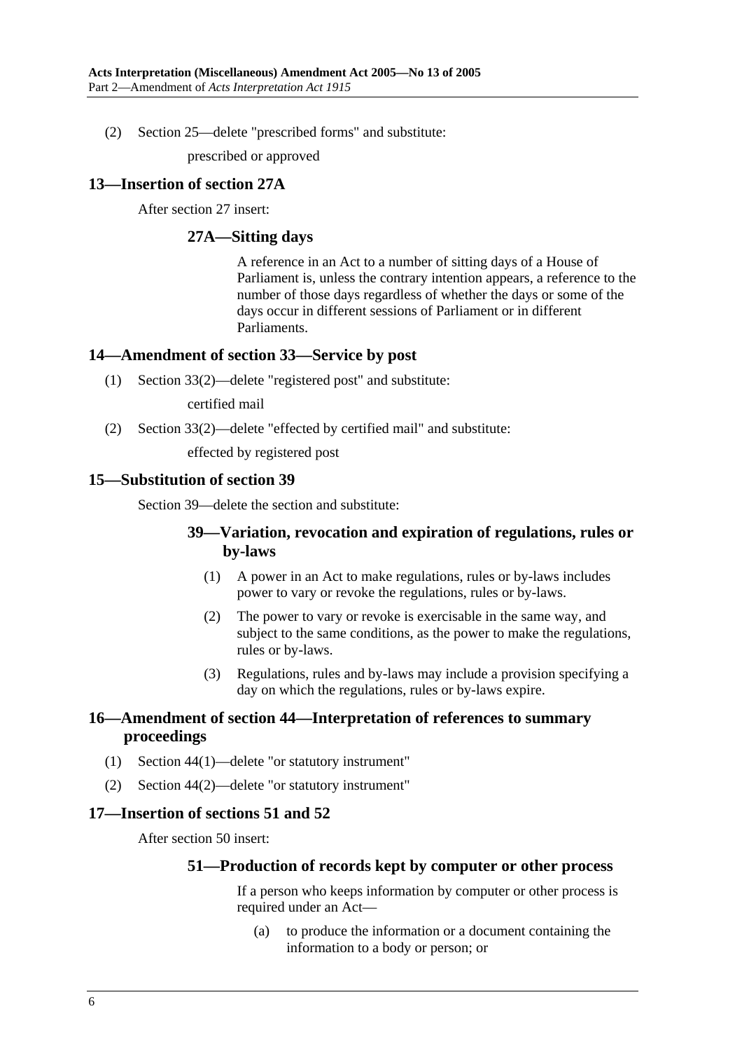(2) Section 25—delete "prescribed forms" and substitute:

prescribed or approved

#### **13—Insertion of section 27A**

After section 27 insert:

#### **27A—Sitting days**

A reference in an Act to a number of sitting days of a House of Parliament is, unless the contrary intention appears, a reference to the number of those days regardless of whether the days or some of the days occur in different sessions of Parliament or in different Parliaments.

#### **14—Amendment of section 33—Service by post**

(1) Section 33(2)—delete "registered post" and substitute:

certified mail

(2) Section 33(2)—delete "effected by certified mail" and substitute:

effected by registered post

#### **15—Substitution of section 39**

Section 39—delete the section and substitute:

#### **39—Variation, revocation and expiration of regulations, rules or by-laws**

- (1) A power in an Act to make regulations, rules or by-laws includes power to vary or revoke the regulations, rules or by-laws.
- (2) The power to vary or revoke is exercisable in the same way, and subject to the same conditions, as the power to make the regulations, rules or by-laws.
- (3) Regulations, rules and by-laws may include a provision specifying a day on which the regulations, rules or by-laws expire.

#### **16—Amendment of section 44—Interpretation of references to summary proceedings**

- (1) Section 44(1)—delete "or statutory instrument"
- (2) Section 44(2)—delete "or statutory instrument"

#### **17—Insertion of sections 51 and 52**

After section 50 insert:

#### **51—Production of records kept by computer or other process**

If a person who keeps information by computer or other process is required under an Act—

 (a) to produce the information or a document containing the information to a body or person; or